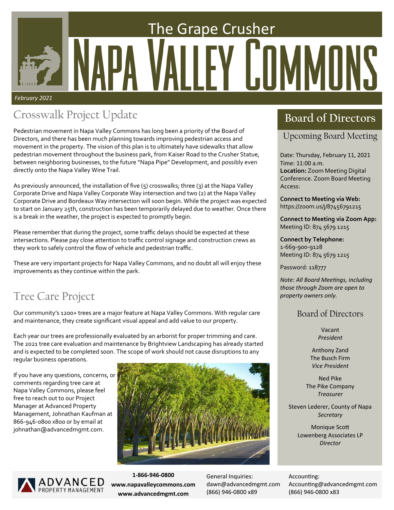# The Grape Crusher FY LOMMONS *February 2021*

## **Crosswalk Project Update Board of Directors**

Pedestrian movement in Napa Valley Commons has long been a priority of the Board of Directors, and there has been much planning towards improving pedestrian access and movement in the property. The vision of this plan is to ultimately have sidewalks that allow pedestrian movement throughout the business park, from Kaiser Road to the Crusher Statue, between neighboring businesses, to the future "Napa Pipe" Development, and possibly even directly onto the Napa Valley Wine Trail.

As previously announced, the installation of five (5) crosswalks; three (3) at the Napa Valley Corporate Drive and Napa Valley Corporate Way intersection and two (2) at the Napa Valley Corporate Drive and Bordeaux Way intersection will soon begin. While the project was expected to start on January 25th, construction has been temporarily delayed due to weather. Once there is a break in the weather, the project is expected to promptly begin.

Please remember that during the project, some traffic delays should be expected at these intersections. Please pay close attention to traffic control signage and construction crews as they work to safely control the flow of vehicle and pedestrian traffic.

These are very important projects for Napa Valley Commons, and no doubt all will enjoy these improvements as they continue within the park.

## Tree Care Project

Our community's 1200+ trees are a major feature at Napa Valley Commons. With regular care and maintenance, they create significant visual appeal and add value to our property.

Each year our trees are professionally evaluated by an arborist for proper trimming and care. The 2021 tree care evaluation and maintenance by Brightview Landscaping has already started and is expected to be completed soon. The scope of work should not cause disruptions to any regular business operations.

If you have any questions, concerns, or comments regarding tree care at Napa Valley Commons, please feel free to reach out to our Project Manager at Advanced Property Management, Johnathan Kaufman at 866‐946‐0800 x800 or by email at johnathan@advancedmgmt.com.





**1‐866‐946‐0800 www.napavalleycommons.com www.advancedmgmt.com** 

General Inquiries: dawn@advancedmgmt.com (866) 946‐0800 x89

Upcoming Board Meeting

Date: Thursday, February 11, 2021 Time: 11:00 a.m. **Location:** Zoom Meeting Digital Conference. Zoom Board Meeting Access:

**Connect to Meeting via Web:**  https://zoom.us/j/87456791215

**Connect to Meeting via Zoom App:**  Meeting ID: 874 5679 1215

**Connect by Telephone:**  1‐669‐900‐9128 Meeting ID: 874 5679 1215

Password: 118777

*Note: All Board MeeƟngs, including those through Zoom are open to property owners only.* 

## Board of Directors

Vacant *President* 

Anthony Zand The Busch Firm *Vice President* 

Ned Pike The Pike Company *Treasurer* 

Steven Lederer, County of Napa *Secretary* 

> **Monique Scott** Lowenberg Associates LP *Director*

Accounting: Accounting@advancedmgmt.com (866) 946‐0800 x83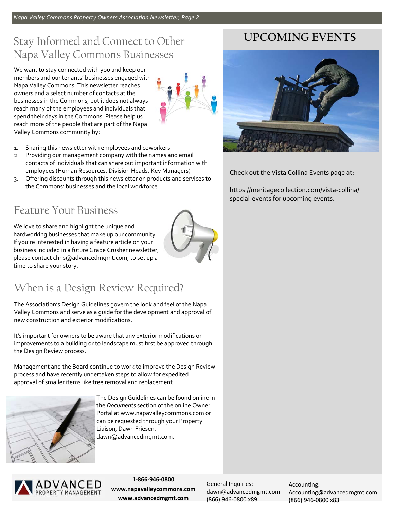## Stay Informed and Connect to Other Napa Valley Commons Businesses

We want to stay connected with you and keep our members and our tenants' businesses engaged with Napa Valley Commons. This newsletter reaches owners and a select number of contacts at the businesses in the Commons, but it does not always reach many of the employees and individuals that spend their days in the Commons. Please help us reach more of the people that are part of the Napa Valley Commons community by:



- 1. Sharing this newsletter with employees and coworkers
- 2. Providing our management company with the names and email contacts of individuals that can share out important information with employees (Human Resources, Division Heads, Key Managers)
- 3. Offering discounts through this newsletter on products and services to the Commons' businesses and the local workforce

## Feature Your Business

We love to share and highlight the unique and hardworking businesses that make up our community. If you're interested in having a feature article on your business included in a future Grape Crusher newsletter, please contact chris@advancedmgmt.com, to set up a time to share your story.



## When is a Design Review Required?

The Association's Design Guidelines govern the look and feel of the Napa Valley Commons and serve as a guide for the development and approval of new construction and exterior modifications.

It's important for owners to be aware that any exterior modifications or improvements to a building or to landscape must first be approved through the Design Review process.

Management and the Board continue to work to improve the Design Review process and have recently undertaken steps to allow for expedited approval of smaller items like tree removal and replacement.



The Design Guidelines can be found online in the *Documents* section of the online Owner Portal at www.napavalleycommons.com or can be requested through your Property Liaison, Dawn Friesen, dawn@advancedmgmt.com.



**1‐866‐946‐0800 www.napavalleycommons.com www.advancedmgmt.com** 

General Inquiries: dawn@advancedmgmt.com (866) 946‐0800 x89

Accounting: Accounting@advancedmgmt.com (866) 946‐0800 x83

## **UPCOMING EVENTS**



Check out the Vista Collina Events page at:

https://meritagecollection.com/vista‐collina/ special‐events for upcoming events.